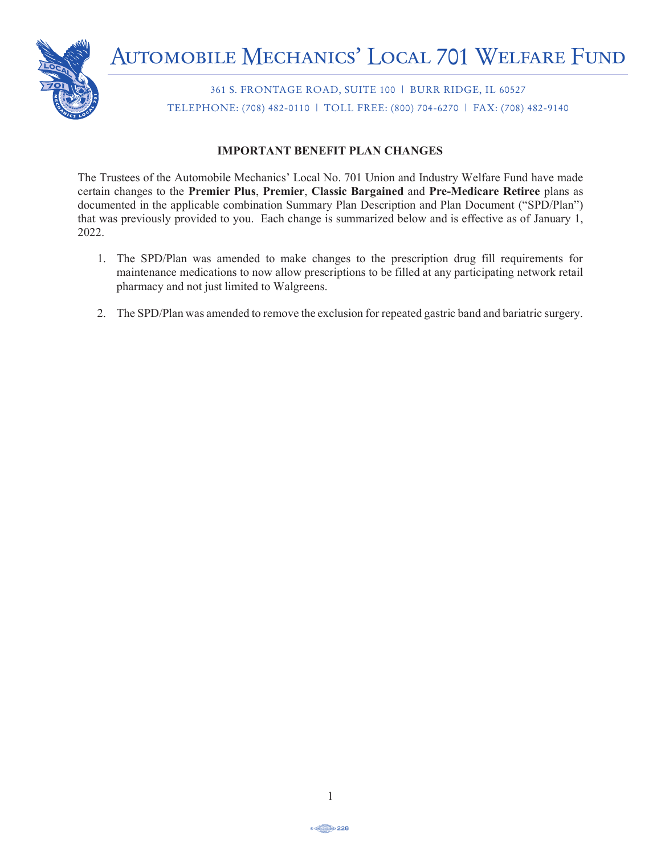

361 S. FRONTAGE ROAD, SUITE 100 | BURR RIDGE, IL 60527 TELEPHONE: (708) 482-0110 | TOLL FREE: (800) 704-6270 | FAX: (708) 482-9140

## **IMPORTANT BENEFIT PLAN CHANGES**

The Trustees of the Automobile Mechanics' Local No. 701 Union and Industry Welfare Fund have made certain changes to the **Premier Plus**, **Premier**, **Classic Bargained** and **Pre-Medicare Retiree** plans as documented in the applicable combination Summary Plan Description and Plan Document ("SPD/Plan") that was previously provided to you. Each change is summarized below and is effective as of January 1,  $\frac{1}{2}$ 2022. bile Mechanics Local No.  $/01$  Union and maustry ut was previously provided to you. Each enange is summarized below and is encerve as of sama Plan No. 501) for the period January 1, 2016 to December 31, 2016. The annual report has

- 1. The SPD/Plan was amended to make changes to the prescription drug fill requirements for maintenance medications to now allow prescriptions to be filled at any participating network retail pharmacy and not just limited to Walgreens. The Trustees of the AUTOMOBILE MECHANICS' LOCAL 701 UNION AND INDUSTRY
- 2. The SPD/Plan was amended to remove the exclusion for repeated gastric band and bariatric surgery.